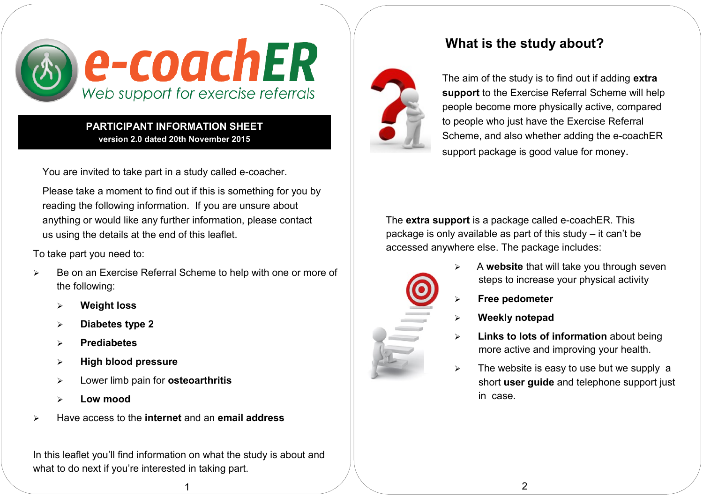

**PARTICIPANT INFORMATION SHEET version 2.0 dated 20th November 2015**

You are invited to take part in a study called e-coacher.

Please take a moment to find out if this is something for you by reading the following information. If you are unsure about anything or would like any further information, please contact us using the details at the end of this leaflet.

To take part you need to:

- Be on an Exercise Referral Scheme to help with one or more of the following:
	- **Weight loss**
	- **Diabetes type 2**
	- **Prediabetes**
	- **High blood pressure**
	- Lower limb pain for **osteoarthritis**
	- **Low mood**
- Have access to the **internet** and an **email address**

In this leaflet you'll find information on what the study is about and what to do next if you're interested in taking part.

1

# **What is the study about?**



The aim of the study is to find out if adding **extra support** to the Exercise Referral Scheme will help people become more physically active, compared to people who just have the Exercise Referral Scheme, and also whether adding the e-coachER support package is good value for money.

The **extra support** is a package called e-coachER. This package is only available as part of this study – it can't be accessed anywhere else. The package includes:



- A **website** that will take you through seven steps to increase your physical activity
- **Free pedometer**
- **Weekly notepad**
- **Links to lots of information** about being more active and improving your health.
- $\triangleright$  The website is easy to use but we supply a short **user guide** and telephone support just in case.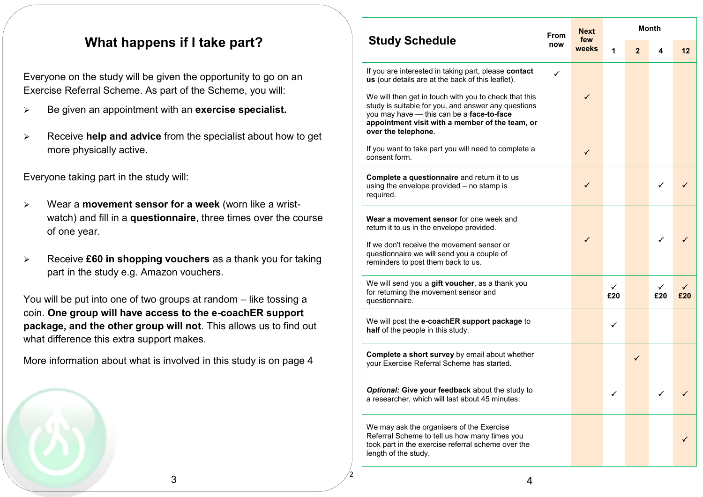### **What happens if I take part?**

Everyone on the study will be given the opportunity to go on an Exercise Referral Scheme. As part of the Scheme, you will:

- Be given an appointment with an **exercise specialist.**
- Receive **help and advice** from the specialist about how to get more physically active.

Everyone taking part in the study will:

- Wear a **movement sensor for a week** (worn like a wristwatch) and fill in a **questionnaire**, three times over the course of one year.
- Receive **£60 in shopping vouchers** as a thank you for taking part in the study e.g. Amazon vouchers.

You will be put into one of two groups at random – like tossing a coin. **One group will have access to the e-coachER support package, and the other group will not**. This allows us to find out what difference this extra support makes.

More information about what is involved in this study is on page 4

| <b>Study Schedule</b>                                                                                                                                                                                                     | From<br>now | <b>Next</b><br>few<br>weeks | <b>Month</b> |                |          |                           |
|---------------------------------------------------------------------------------------------------------------------------------------------------------------------------------------------------------------------------|-------------|-----------------------------|--------------|----------------|----------|---------------------------|
|                                                                                                                                                                                                                           |             |                             | 1            | $\overline{2}$ | 4        | 12                        |
| If you are interested in taking part, please contact<br>us (our details are at the back of this leaflet).<br>We will then get in touch with you to check that this<br>study is suitable for you, and answer any questions | ✓           | ✓                           |              |                |          |                           |
| you may have - this can be a face-to-face<br>appointment visit with a member of the team, or<br>over the telephone.                                                                                                       |             |                             |              |                |          |                           |
| If you want to take part you will need to complete a<br>consent form.                                                                                                                                                     |             | $\checkmark$                |              |                |          |                           |
| Complete a questionnaire and return it to us<br>using the envelope provided - no stamp is<br>required.                                                                                                                    |             | ✓                           |              |                | ✓        |                           |
| Wear a movement sensor for one week and<br>return it to us in the envelope provided.                                                                                                                                      |             | $\checkmark$                |              |                | ✓        |                           |
| If we don't receive the movement sensor or<br>questionnaire we will send you a couple of<br>reminders to post them back to us.                                                                                            |             |                             |              |                |          |                           |
| We will send you a gift voucher, as a thank you<br>for returning the movement sensor and<br>questionnaire.                                                                                                                |             |                             | ✓<br>£20     |                | ✓<br>£20 | £20                       |
| We will post the e-coachER support package to<br>half of the people in this study.                                                                                                                                        |             |                             | ✓            |                |          |                           |
| Complete a short survey by email about whether<br>your Exercise Referral Scheme has started.                                                                                                                              |             |                             |              | $\checkmark$   |          |                           |
| Optional: Give your feedback about the study to<br>a researcher, which will last about 45 minutes.                                                                                                                        |             |                             | ✓            |                |          | $\checkmark$ $\checkmark$ |
| We may ask the organisers of the Exercise<br>Referral Scheme to tell us how many times you<br>took part in the exercise referral scheme over the<br>length of the study.                                                  |             |                             |              |                |          |                           |

2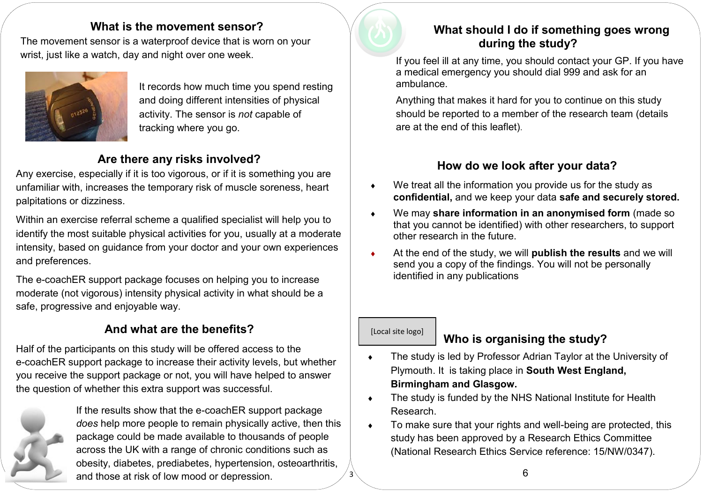### **What is the movement sensor?**

The movement sensor is a waterproof device that is worn on your wrist, just like a watch, day and night over one week.



It records how much time you spend resting and doing different intensities of physical activity. The sensor is *not* capable of tracking where you go.

### **Are there any risks involved?**

Any exercise, especially if it is too vigorous, or if it is something you are unfamiliar with, increases the temporary risk of muscle soreness, heart palpitations or dizziness.

Within an exercise referral scheme a qualified specialist will help you to identify the most suitable physical activities for you, usually at a moderate intensity, based on guidance from your doctor and your own experiences and preferences.

The e-coachER support package focuses on helping you to increase moderate (not vigorous) intensity physical activity in what should be a safe, progressive and enjoyable way.

# **And what are the benefits?**

Half of the participants on this study will be offered access to the e-coachER support package to increase their activity levels, but whether you receive the support package or not, you will have helped to answer the question of whether this extra support was successful.



If the results show that the e-coachER support package *does* help more people to remain physically active, then this package could be made available to thousands of people across the UK with a range of chronic conditions such as obesity, diabetes, prediabetes, hypertension, osteoarthritis, and those at risk of low mood or depression.



## **What should I do if something goes wrong during the study?**

If you feel ill at any time, you should contact your GP. If you have a medical emergency you should dial 999 and ask for an ambulance.

Anything that makes it hard for you to continue on this study should be reported to a member of the research team (details are at the end of this leaflet).

### **How do we look after your data?**

- We treat all the information you provide us for the study as **confidential,** and we keep your data **safe and securely stored.**
- We may **share information in an anonymised form** (made so that you cannot be identified) with other researchers, to support other research in the future.
- At the end of the study, we will **publish the results** and we will send you a copy of the findings. You will not be personally identified in any publications

### [Local site logo]

3

## **Who is organising the study?**

- The study is led by Professor Adrian Taylor at the University of Plymouth. It is taking place in **South West England, Birmingham and Glasgow.**
- The study is funded by the NHS National Institute for Health Research.
- To make sure that your rights and well-being are protected, this study has been approved by a Research Ethics Committee (National Research Ethics Service reference: 15/NW/0347).